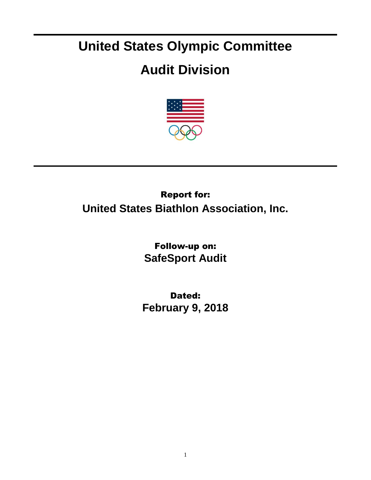## **United States Olympic Committee**

## **Audit Division**



## Report for: **United States Biathlon Association, Inc.**

Follow-up on: **SafeSport Audit**

Dated: **February 9, 2018**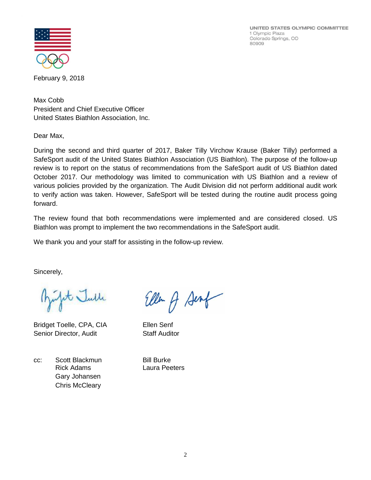UNITED STATES OLYMPIC COMMITTEE 1 Olympic Plaza Colorado Springs, CO 80909



February 9, 2018

Max Cobb President and Chief Executive Officer United States Biathlon Association, Inc.

Dear Max,

During the second and third quarter of 2017, Baker Tilly Virchow Krause (Baker Tilly) performed a SafeSport audit of the United States Biathlon Association (US Biathlon). The purpose of the follow-up review is to report on the status of recommendations from the SafeSport audit of US Biathlon dated October 2017. Our methodology was limited to communication with US Biathlon and a review of various policies provided by the organization. The Audit Division did not perform additional audit work to verify action was taken. However, SafeSport will be tested during the routine audit process going forward.

The review found that both recommendations were implemented and are considered closed. US Biathlon was prompt to implement the two recommendations in the SafeSport audit.

We thank you and your staff for assisting in the follow-up review.

Sincerely,

t Julle

Bridget Toelle, CPA, CIA Ellen Senf Senior Director, Audit Staff Auditor

cc: Scott Blackmun Bill Burke Rick Adams Laura Peeters Gary Johansen Chris McCleary

Ellen A Senf